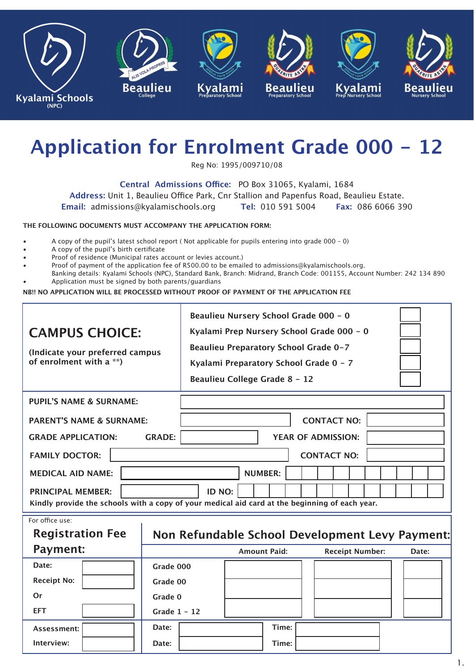

# **Application for Enrolment Grade 000 - 12**

Reg No: 1995/009710/08

**Central Admissions Office:** PO Box 31065, Kyalami, 1684

**Address:** Unit 1, Beaulieu Office Park, Cnr Stallion and Papenfus Road, Beaulieu Estate.

**Email:** admissions@kyalamischools.org **Tel:** 010 591 5004 **Fax:** 086 6066 390

### **THE FOLLOWING DOCUMENTS MUST ACCOMPANY THE APPLICATION FORM:**

- A copy of the pupil's latest school report ( Not applicable for pupils entering into grade 000 0)
- A copy of the pupil's birth certificate
- Proof of residence (Municipal rates account or levies account.)
- Proof of payment of the application fee of R500.00 to be emailed to admissions@kyalamischools.org.
- Banking details: Kyalami Schools (NPC), Standard Bank, Branch: Midrand, Branch Code: 001155, Account Number: 242 134 890 • Application must be signed by both parents/guardians

**NB!! NO APPLICATION WILL BE PROCESSED WITHOUT PROOF OF PAYMENT OF THE APPLICATION FEE**

| <b>CAMPUS CHOICE:</b><br>(Indicate your preferred campus<br>of enrolment with a **)                                        | Beaulieu Nursery School Grade 000 - 0<br>Kyalami Prep Nursery School Grade 000 - 0<br>Beaulieu Preparatory School Grade 0-7<br>Kyalami Preparatory School Grade 0 - 7<br>Beaulieu College Grade 8 - 12 |                |                     |                    |                           |                        |  |                                                 |  |  |  |  |
|----------------------------------------------------------------------------------------------------------------------------|--------------------------------------------------------------------------------------------------------------------------------------------------------------------------------------------------------|----------------|---------------------|--------------------|---------------------------|------------------------|--|-------------------------------------------------|--|--|--|--|
| <b>PUPIL'S NAME &amp; SURNAME:</b>                                                                                         |                                                                                                                                                                                                        |                |                     |                    |                           |                        |  |                                                 |  |  |  |  |
|                                                                                                                            |                                                                                                                                                                                                        |                |                     |                    |                           |                        |  |                                                 |  |  |  |  |
| <b>PARENT'S NAME &amp; SURNAME:</b>                                                                                        |                                                                                                                                                                                                        |                |                     | <b>CONTACT NO:</b> |                           |                        |  |                                                 |  |  |  |  |
| <b>GRADE APPLICATION:</b>                                                                                                  | <b>GRADE:</b>                                                                                                                                                                                          |                |                     |                    | <b>YEAR OF ADMISSION:</b> |                        |  |                                                 |  |  |  |  |
| <b>FAMILY DOCTOR:</b>                                                                                                      |                                                                                                                                                                                                        |                |                     |                    | <b>CONTACT NO:</b>        |                        |  |                                                 |  |  |  |  |
| <b>MEDICAL AID NAME:</b>                                                                                                   |                                                                                                                                                                                                        | <b>NUMBER:</b> |                     |                    |                           |                        |  |                                                 |  |  |  |  |
| <b>PRINCIPAL MEMBER:</b><br>Kindly provide the schools with a copy of your medical aid card at the beginning of each year. |                                                                                                                                                                                                        | ID NO:         |                     |                    |                           |                        |  |                                                 |  |  |  |  |
| For office use:                                                                                                            |                                                                                                                                                                                                        |                |                     |                    |                           |                        |  |                                                 |  |  |  |  |
| <b>Registration Fee</b>                                                                                                    |                                                                                                                                                                                                        |                |                     |                    |                           |                        |  | Non Refundable School Development Levy Payment: |  |  |  |  |
| <b>Payment:</b>                                                                                                            |                                                                                                                                                                                                        |                | <b>Amount Paid:</b> |                    |                           | <b>Receipt Number:</b> |  | Date:                                           |  |  |  |  |
| Date:                                                                                                                      | Grade 000                                                                                                                                                                                              |                |                     |                    |                           |                        |  |                                                 |  |  |  |  |
| <b>Receipt No:</b>                                                                                                         | Grade 00                                                                                                                                                                                               |                |                     |                    |                           |                        |  |                                                 |  |  |  |  |
| Or                                                                                                                         | Grade 0                                                                                                                                                                                                |                |                     |                    |                           |                        |  |                                                 |  |  |  |  |
| <b>EFT</b>                                                                                                                 | Grade $1 - 12$                                                                                                                                                                                         |                |                     |                    |                           |                        |  |                                                 |  |  |  |  |
| Assessment:                                                                                                                | Date:                                                                                                                                                                                                  |                |                     | Time:              |                           |                        |  |                                                 |  |  |  |  |
| Interview:                                                                                                                 | Date:                                                                                                                                                                                                  |                |                     | Time:              |                           |                        |  |                                                 |  |  |  |  |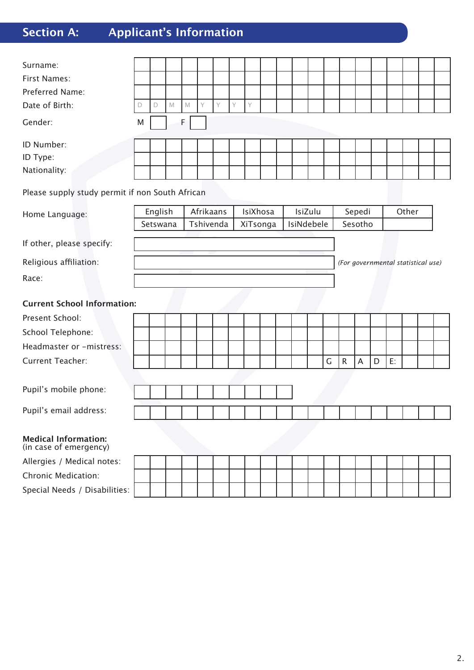## **Section A: Applicant's Information**

| Surname:                                              |             |             |             |             |           |           |   |          |          |  |            |  |   |           |         |   |       |  |                                    |  |
|-------------------------------------------------------|-------------|-------------|-------------|-------------|-----------|-----------|---|----------|----------|--|------------|--|---|-----------|---------|---|-------|--|------------------------------------|--|
| <b>First Names:</b>                                   |             |             |             |             |           |           |   |          |          |  |            |  |   |           |         |   |       |  |                                    |  |
| Preferred Name:                                       |             |             |             |             |           |           |   |          |          |  |            |  |   |           |         |   |       |  |                                    |  |
| Date of Birth:                                        | $\mathsf D$ | $\mathsf D$ | $\mathbb M$ | $\mathbb M$ | Y         | Y         | Y | Y        |          |  |            |  |   |           |         |   |       |  |                                    |  |
| Gender:                                               | M           |             |             | F.          |           |           |   |          |          |  |            |  |   |           |         |   |       |  |                                    |  |
| ID Number:                                            |             |             |             |             |           |           |   |          |          |  |            |  |   |           |         |   |       |  |                                    |  |
| ID Type:                                              |             |             |             |             |           |           |   |          |          |  |            |  |   |           |         |   |       |  |                                    |  |
| Nationality:                                          |             |             |             |             |           |           |   |          |          |  |            |  |   |           |         |   |       |  |                                    |  |
| Please supply study permit if non South African       |             |             |             |             |           |           |   |          |          |  |            |  |   |           |         |   |       |  |                                    |  |
| Home Language:                                        | English     |             |             |             | Afrikaans |           |   | IsiXhosa |          |  | IsiZulu    |  |   | Sepedi    |         |   | Other |  |                                    |  |
|                                                       | Setswana    |             |             |             |           | Tshivenda |   |          | XiTsonga |  | IsiNdebele |  |   |           | Sesotho |   |       |  |                                    |  |
| If other, please specify:                             |             |             |             |             |           |           |   |          |          |  |            |  |   |           |         |   |       |  |                                    |  |
| Religious affiliation:                                |             |             |             |             |           |           |   |          |          |  |            |  |   |           |         |   |       |  | (For governmental statistical use) |  |
| Race:                                                 |             |             |             |             |           |           |   |          |          |  |            |  |   |           |         |   |       |  |                                    |  |
| <b>Current School Information:</b>                    |             |             |             |             |           |           |   |          |          |  |            |  |   |           |         |   |       |  |                                    |  |
| Present School:                                       |             |             |             |             |           |           |   |          |          |  |            |  |   |           |         |   |       |  |                                    |  |
| School Telephone:                                     |             |             |             |             |           |           |   |          |          |  |            |  |   |           |         |   |       |  |                                    |  |
| Headmaster or -mistress:                              |             |             |             |             |           |           |   |          |          |  |            |  |   |           |         |   |       |  |                                    |  |
| <b>Current Teacher:</b>                               |             |             |             |             |           |           |   |          |          |  |            |  | G | ${\sf R}$ | A       | D | E:    |  |                                    |  |
|                                                       |             |             |             |             |           |           |   |          |          |  |            |  |   |           |         |   |       |  |                                    |  |
| Pupil's mobile phone:                                 |             |             |             |             |           |           |   |          |          |  |            |  |   |           |         |   |       |  |                                    |  |
| Pupil's email address:                                |             |             |             |             |           |           |   |          |          |  |            |  |   |           |         |   |       |  |                                    |  |
|                                                       |             |             |             |             |           |           |   |          |          |  |            |  |   |           |         |   |       |  |                                    |  |
| <b>Medical Information:</b><br>(in case of emergency) |             |             |             |             |           |           |   |          |          |  |            |  |   |           |         |   |       |  |                                    |  |
| Allergies / Medical notes:                            |             |             |             |             |           |           |   |          |          |  |            |  |   |           |         |   |       |  |                                    |  |
| <b>Chronic Medication:</b>                            |             |             |             |             |           |           |   |          |          |  |            |  |   |           |         |   |       |  |                                    |  |
| Special Needs / Disabilities:                         |             |             |             |             |           |           |   |          |          |  |            |  |   |           |         |   |       |  |                                    |  |

Kyalami Schools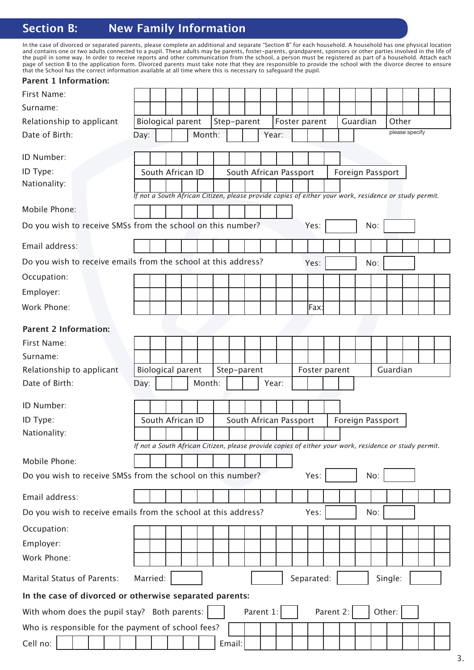### **Section B:** New Family Information

In the case of divorced or separated parents, please complete an additional and separate "Section B" for each household. A household has one physical location and contains one or two adults connected to a pupil. These adults may be parents, foster-parents, grandparent, sponsors or other parties involved in the life of the pupil in some way. In order to receive reports and other communication from the school, a person must be registered as part of a household. Attach each page of section B to the application form. Divorced parents must take note that they are responsible to provide the school with the divorce decree to ensure that the School has the correct information available at all time where this is necessary to safeguard the pupil.<br>
Remeaber 1. In Conventions:

| <b>Parent 1 Information:</b>                                                  |                                                                                                       |                          |  |  |        |  |  |             |           |                        |               |           |                  |     |          |                |  |
|-------------------------------------------------------------------------------|-------------------------------------------------------------------------------------------------------|--------------------------|--|--|--------|--|--|-------------|-----------|------------------------|---------------|-----------|------------------|-----|----------|----------------|--|
| First Name:                                                                   |                                                                                                       |                          |  |  |        |  |  |             |           |                        |               |           |                  |     |          |                |  |
| Surname:                                                                      |                                                                                                       |                          |  |  |        |  |  |             |           |                        |               |           |                  |     |          |                |  |
| Relationship to applicant                                                     |                                                                                                       | <b>Biological parent</b> |  |  |        |  |  | Step-parent |           | Foster parent          |               |           | Guardian         |     | Other    |                |  |
| Date of Birth:                                                                | Day:                                                                                                  |                          |  |  | Month: |  |  |             | Year:     |                        |               |           |                  |     |          | please specify |  |
| ID Number:                                                                    |                                                                                                       |                          |  |  |        |  |  |             |           |                        |               |           |                  |     |          |                |  |
| ID Type:                                                                      |                                                                                                       | South African ID         |  |  |        |  |  |             |           | South African Passport |               |           | Foreign Passport |     |          |                |  |
| Nationality:                                                                  |                                                                                                       |                          |  |  |        |  |  |             |           |                        |               |           |                  |     |          |                |  |
|                                                                               | If not a South African Citizen, please provide copies of either your work, residence or study permit. |                          |  |  |        |  |  |             |           |                        |               |           |                  |     |          |                |  |
| Mobile Phone:                                                                 |                                                                                                       |                          |  |  |        |  |  |             |           |                        |               |           |                  |     |          |                |  |
| Do you wish to receive SMSs from the school on this number?                   |                                                                                                       |                          |  |  |        |  |  |             |           |                        | Yes:          |           |                  | No: |          |                |  |
| Email address:                                                                |                                                                                                       |                          |  |  |        |  |  |             |           |                        |               |           |                  |     |          |                |  |
| Do you wish to receive emails from the school at this address?                |                                                                                                       |                          |  |  |        |  |  |             |           |                        | Yes:          |           |                  | No: |          |                |  |
| Occupation:                                                                   |                                                                                                       |                          |  |  |        |  |  |             |           |                        |               |           |                  |     |          |                |  |
| Employer:                                                                     |                                                                                                       |                          |  |  |        |  |  |             |           |                        |               |           |                  |     |          |                |  |
| Work Phone:                                                                   |                                                                                                       |                          |  |  |        |  |  |             |           |                        | Fax:          |           |                  |     |          |                |  |
| <b>Parent 2 Information:</b>                                                  |                                                                                                       |                          |  |  |        |  |  |             |           |                        |               |           |                  |     |          |                |  |
| First Name:                                                                   |                                                                                                       |                          |  |  |        |  |  |             |           |                        |               |           |                  |     |          |                |  |
| Surname:                                                                      |                                                                                                       |                          |  |  |        |  |  |             |           |                        |               |           |                  |     |          |                |  |
| Relationship to applicant                                                     |                                                                                                       | <b>Biological parent</b> |  |  |        |  |  | Step-parent |           |                        | Foster parent |           |                  |     | Guardian |                |  |
| Date of Birth:                                                                | Day:                                                                                                  |                          |  |  | Month: |  |  |             | Year:     |                        |               |           |                  |     |          |                |  |
|                                                                               |                                                                                                       |                          |  |  |        |  |  |             |           |                        |               |           |                  |     |          |                |  |
| ID Number:                                                                    |                                                                                                       |                          |  |  |        |  |  |             |           |                        |               |           |                  |     |          |                |  |
| ID Type:                                                                      |                                                                                                       | South African ID         |  |  |        |  |  |             |           | South African Passport |               |           | Foreign Passport |     |          |                |  |
| Nationality:                                                                  |                                                                                                       |                          |  |  |        |  |  |             |           |                        |               |           |                  |     |          |                |  |
|                                                                               | If not a South African Citizen, please provide copies of either your work, residence or study permit. |                          |  |  |        |  |  |             |           |                        |               |           |                  |     |          |                |  |
| Mobile Phone:                                                                 |                                                                                                       |                          |  |  |        |  |  |             |           |                        |               |           |                  |     |          |                |  |
| Do you wish to receive SMSs from the school on this number?                   |                                                                                                       |                          |  |  |        |  |  |             |           |                        | Yes:          |           |                  | No: |          |                |  |
| Email address:                                                                |                                                                                                       |                          |  |  |        |  |  |             |           |                        |               |           |                  |     |          |                |  |
| Do you wish to receive emails from the school at this address?<br>Yes:<br>No: |                                                                                                       |                          |  |  |        |  |  |             |           |                        |               |           |                  |     |          |                |  |
|                                                                               |                                                                                                       |                          |  |  |        |  |  |             |           |                        |               |           |                  |     |          |                |  |
| Occupation:                                                                   |                                                                                                       |                          |  |  |        |  |  |             |           |                        |               |           |                  |     |          |                |  |
| Employer:                                                                     |                                                                                                       |                          |  |  |        |  |  |             |           |                        |               |           |                  |     |          |                |  |
| Work Phone:                                                                   |                                                                                                       |                          |  |  |        |  |  |             |           |                        |               |           |                  |     |          |                |  |
| Marital Status of Parents:                                                    | Married:                                                                                              |                          |  |  |        |  |  |             |           |                        | Separated:    |           |                  |     | Single:  |                |  |
| In the case of divorced or otherwise separated parents:                       |                                                                                                       |                          |  |  |        |  |  |             |           |                        |               |           |                  |     |          |                |  |
| With whom does the pupil stay? Both parents:                                  |                                                                                                       |                          |  |  |        |  |  |             | Parent 1: |                        |               | Parent 2: |                  |     | Other:   |                |  |
| Who is responsible for the payment of school fees?                            |                                                                                                       |                          |  |  |        |  |  |             |           |                        |               |           |                  |     |          |                |  |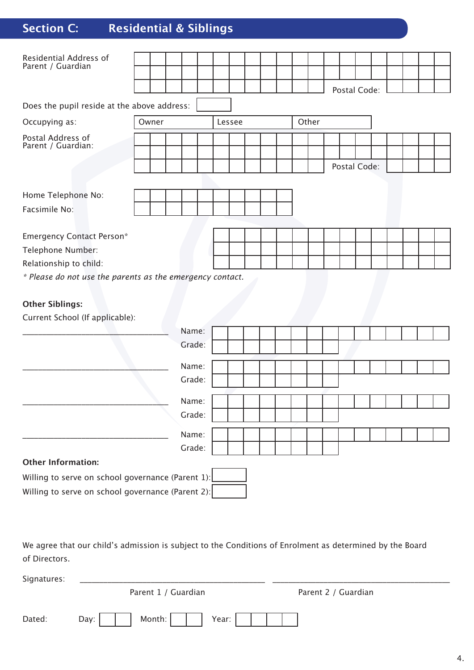### **Section C: Residential & Siblings**

| Residential Address of<br>Parent / Guardian               |       |        |        |  |       |              |  |  |  |
|-----------------------------------------------------------|-------|--------|--------|--|-------|--------------|--|--|--|
|                                                           |       |        |        |  |       |              |  |  |  |
|                                                           |       |        |        |  |       | Postal Code: |  |  |  |
| Does the pupil reside at the above address:               |       |        |        |  |       |              |  |  |  |
| Occupying as:                                             | Owner |        | Lessee |  | Other |              |  |  |  |
| Postal Address of<br>Parent / Guardian:                   |       |        |        |  |       |              |  |  |  |
|                                                           |       |        |        |  |       |              |  |  |  |
|                                                           |       |        |        |  |       | Postal Code: |  |  |  |
| Home Telephone No:                                        |       |        |        |  |       |              |  |  |  |
|                                                           |       |        |        |  |       |              |  |  |  |
| Facsimile No:                                             |       |        |        |  |       |              |  |  |  |
|                                                           |       |        |        |  |       |              |  |  |  |
| <b>Emergency Contact Person*</b>                          |       |        |        |  |       |              |  |  |  |
| Telephone Number:                                         |       |        |        |  |       |              |  |  |  |
| Relationship to child:                                    |       |        |        |  |       |              |  |  |  |
| * Please do not use the parents as the emergency contact. |       |        |        |  |       |              |  |  |  |
| <b>Other Siblings:</b>                                    |       |        |        |  |       |              |  |  |  |
| Current School (If applicable):                           |       |        |        |  |       |              |  |  |  |
|                                                           |       | Name:  |        |  |       |              |  |  |  |
|                                                           |       | Grade: |        |  |       |              |  |  |  |
|                                                           |       | Name:  |        |  |       |              |  |  |  |
|                                                           |       |        |        |  |       |              |  |  |  |
|                                                           |       | Grade: |        |  |       |              |  |  |  |
|                                                           |       | Name:  |        |  |       |              |  |  |  |
|                                                           |       | Grade: |        |  |       |              |  |  |  |

**Other Information:**

Willing to serve on school governance (Parent 1): Willing to serve on school governance (Parent 2):

we agree that our child's admission is subject to the Conditions of Enrolment as determined by the Board  $\blacksquare$ of Directors.

Name: Grade:

| UL DILECTOLS. |                                   |                     |  |
|---------------|-----------------------------------|---------------------|--|
| Signatures:   |                                   |                     |  |
|               | Parent 1 / Guardian               | Parent 2 / Guardian |  |
| Dated:        | Month:  <br>Day: $\vert$<br>Year: |                     |  |